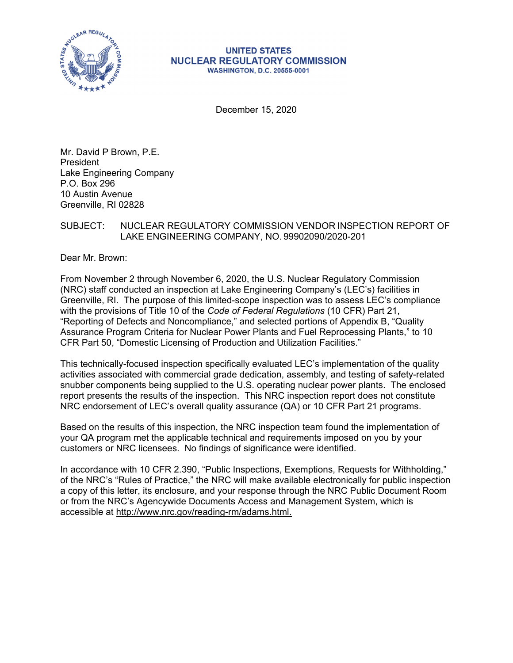

#### **UNITED STATES NUCLEAR REGULATORY COMMISSION WASHINGTON, D.C. 20555-0001**

December 15, 2020

Mr. David P Brown, P.E. President Lake Engineering Company P.O. Box 296 10 Austin Avenue Greenville, RI 02828

## SUBJECT: NUCLEAR REGULATORY COMMISSION VENDOR INSPECTION REPORT OF LAKE ENGINEERING COMPANY, NO. 99902090/2020-201

Dear Mr. Brown:

From November 2 through November 6, 2020, the U.S. Nuclear Regulatory Commission (NRC) staff conducted an inspection at Lake Engineering Company's (LEC's) facilities in Greenville, RI. The purpose of this limited-scope inspection was to assess LEC's compliance with the provisions of Title 10 of the *Code of Federal Regulations* (10 CFR) Part 21, "Reporting of Defects and Noncompliance," and selected portions of Appendix B, "Quality Assurance Program Criteria for Nuclear Power Plants and Fuel Reprocessing Plants," to 10 CFR Part 50, "Domestic Licensing of Production and Utilization Facilities."

This technically-focused inspection specifically evaluated LEC's implementation of the quality activities associated with commercial grade dedication, assembly, and testing of safety-related snubber components being supplied to the U.S. operating nuclear power plants. The enclosed report presents the results of the inspection. This NRC inspection report does not constitute NRC endorsement of LEC's overall quality assurance (QA) or 10 CFR Part 21 programs.

Based on the results of this inspection, the NRC inspection team found the implementation of your QA program met the applicable technical and requirements imposed on you by your customers or NRC licensees. No findings of significance were identified.

In accordance with 10 CFR 2.390, "Public Inspections, Exemptions, Requests for Withholding," of the NRC's "Rules of Practice," the NRC will make available electronically for public inspection a copy of this letter, its enclosure, and your response through the NRC Public Document Room or from the NRC's Agencywide Documents Access and Management System, which is accessible at http://www.nrc.gov/reading-rm/adams.html.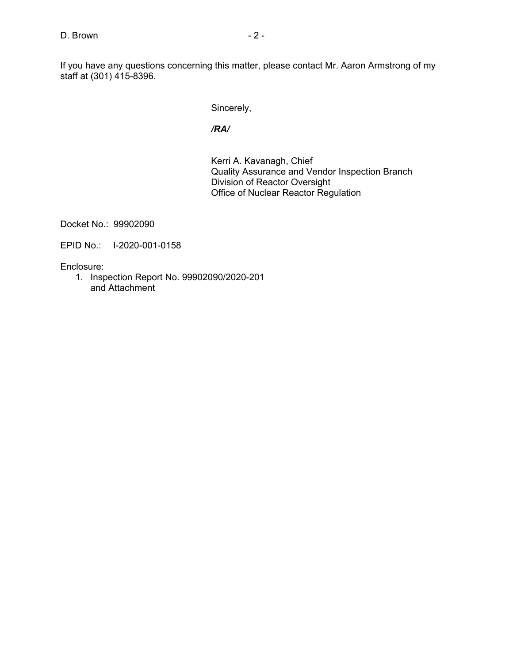If you have any questions concerning this matter, please contact Mr. Aaron Armstrong of my staff at (301) 415-8396.

Sincerely,

## */RA/*

Kerri A. Kavanagh, Chief Quality Assurance and Vendor Inspection Branch Division of Reactor Oversight Office of Nuclear Reactor Regulation

Docket No.: 99902090

EPID No.: I-2020-001-0158

Enclosure:

1. Inspection Report No. 99902090/2020-201 and Attachment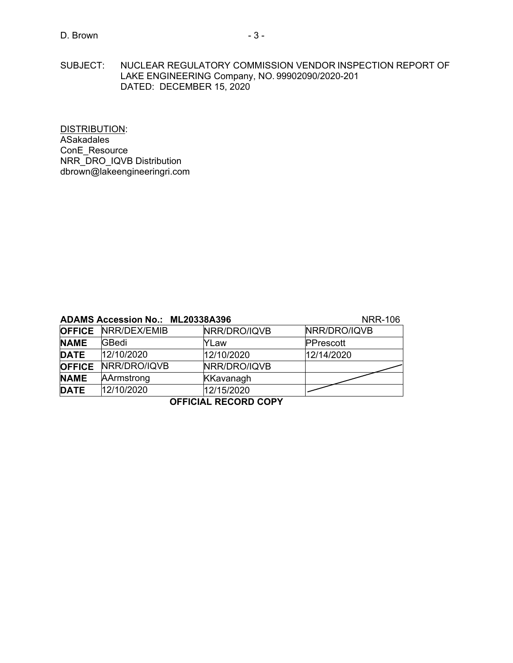SUBJECT: NUCLEAR REGULATORY COMMISSION VENDOR INSPECTION REPORT OF LAKE ENGINEERING Company, NO. 99902090/2020-201 DATED: DECEMBER 15, 2020

DISTRIBUTION: ASakadales ConE\_Resource NRR\_DRO\_IQVB Distribution dbrown@lakeengineeringri.com

## **ADAMS Accession No.: ML20338A396** NRR-106

|               | <b>OFFICE NRR/DEX/EMIB</b> | NRR/DRO/IQVB     | NRR/DRO/IQVB |  |  |  |  |
|---------------|----------------------------|------------------|--------------|--|--|--|--|
| <b>NAME</b>   | GBedi                      | YLaw             | PPrescott    |  |  |  |  |
| <b>DATE</b>   | 12/10/2020                 | 12/10/2020       | 12/14/2020   |  |  |  |  |
| <b>OFFICE</b> | NRR/DRO/IQVB               | NRR/DRO/IQVB     |              |  |  |  |  |
| <b>NAME</b>   | AArmstrong                 | <b>KKavanagh</b> |              |  |  |  |  |
| <b>DATE</b>   | 12/10/2020                 | 12/15/2020       |              |  |  |  |  |
| ------ ---    |                            |                  |              |  |  |  |  |

#### **OFFICIAL RECORD COPY**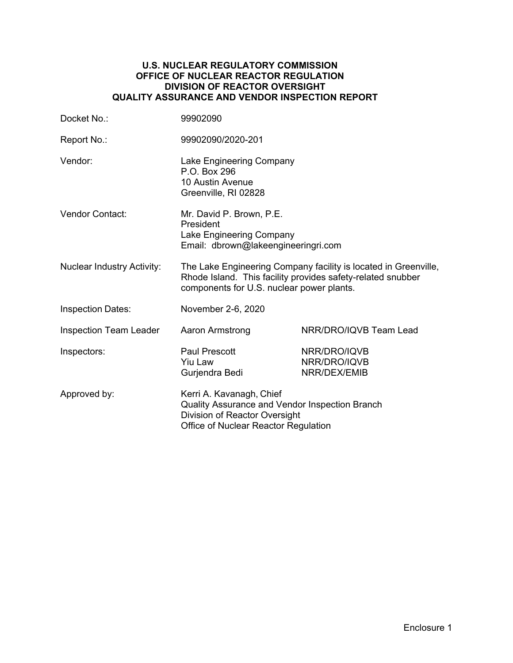#### **U.S. NUCLEAR REGULATORY COMMISSION OFFICE OF NUCLEAR REACTOR REGULATION DIVISION OF REACTOR OVERSIGHT QUALITY ASSURANCE AND VENDOR INSPECTION REPORT**

| Docket No.:                       | 99902090                                                                                                                                                                    |                                              |  |
|-----------------------------------|-----------------------------------------------------------------------------------------------------------------------------------------------------------------------------|----------------------------------------------|--|
| Report No.:                       | 99902090/2020-201                                                                                                                                                           |                                              |  |
| Vendor:                           | Lake Engineering Company<br>P.O. Box 296<br>10 Austin Avenue<br>Greenville, RI 02828                                                                                        |                                              |  |
| Vendor Contact:                   | Mr. David P. Brown, P.E.<br>President<br>Lake Engineering Company<br>Email: dbrown@lakeengineeringri.com                                                                    |                                              |  |
| <b>Nuclear Industry Activity:</b> | The Lake Engineering Company facility is located in Greenville,<br>Rhode Island. This facility provides safety-related snubber<br>components for U.S. nuclear power plants. |                                              |  |
| <b>Inspection Dates:</b>          | November 2-6, 2020                                                                                                                                                          |                                              |  |
| <b>Inspection Team Leader</b>     | Aaron Armstrong                                                                                                                                                             | NRR/DRO/IQVB Team Lead                       |  |
| Inspectors:                       | <b>Paul Prescott</b><br><b>Yiu Law</b><br>Gurjendra Bedi                                                                                                                    | NRR/DRO/IQVB<br>NRR/DRO/IQVB<br>NRR/DEX/EMIB |  |
| Approved by:                      | Kerri A. Kavanagh, Chief<br>Quality Assurance and Vendor Inspection Branch<br>Division of Reactor Oversight<br>Office of Nuclear Reactor Regulation                         |                                              |  |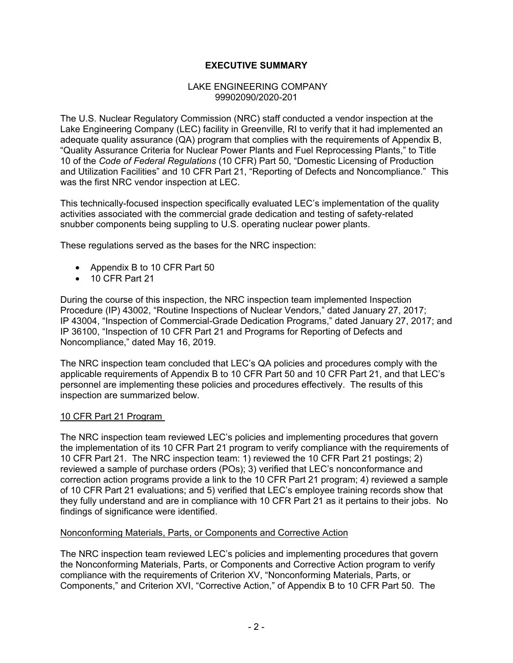# **EXECUTIVE SUMMARY**

#### LAKE ENGINEERING COMPANY 99902090/2020-201

The U.S. Nuclear Regulatory Commission (NRC) staff conducted a vendor inspection at the Lake Engineering Company (LEC) facility in Greenville, RI to verify that it had implemented an adequate quality assurance (QA) program that complies with the requirements of Appendix B, "Quality Assurance Criteria for Nuclear Power Plants and Fuel Reprocessing Plants," to Title 10 of the *Code of Federal Regulations* (10 CFR) Part 50, "Domestic Licensing of Production and Utilization Facilities" and 10 CFR Part 21, "Reporting of Defects and Noncompliance." This was the first NRC vendor inspection at LEC.

This technically-focused inspection specifically evaluated LEC's implementation of the quality activities associated with the commercial grade dedication and testing of safety-related snubber components being suppling to U.S. operating nuclear power plants.

These regulations served as the bases for the NRC inspection:

- Appendix B to 10 CFR Part 50
- 10 CFR Part 21

During the course of this inspection, the NRC inspection team implemented Inspection Procedure (IP) 43002, "Routine Inspections of Nuclear Vendors," dated January 27, 2017; IP 43004, "Inspection of Commercial-Grade Dedication Programs," dated January 27, 2017; and IP 36100, "Inspection of 10 CFR Part 21 and Programs for Reporting of Defects and Noncompliance," dated May 16, 2019.

The NRC inspection team concluded that LEC's QA policies and procedures comply with the applicable requirements of Appendix B to 10 CFR Part 50 and 10 CFR Part 21, and that LEC's personnel are implementing these policies and procedures effectively. The results of this inspection are summarized below.

#### 10 CFR Part 21 Program

The NRC inspection team reviewed LEC's policies and implementing procedures that govern the implementation of its 10 CFR Part 21 program to verify compliance with the requirements of 10 CFR Part 21. The NRC inspection team: 1) reviewed the 10 CFR Part 21 postings; 2) reviewed a sample of purchase orders (POs); 3) verified that LEC's nonconformance and correction action programs provide a link to the 10 CFR Part 21 program; 4) reviewed a sample of 10 CFR Part 21 evaluations; and 5) verified that LEC's employee training records show that they fully understand and are in compliance with 10 CFR Part 21 as it pertains to their jobs. No findings of significance were identified.

#### Nonconforming Materials, Parts, or Components and Corrective Action

The NRC inspection team reviewed LEC's policies and implementing procedures that govern the Nonconforming Materials, Parts, or Components and Corrective Action program to verify compliance with the requirements of Criterion XV, "Nonconforming Materials, Parts, or Components," and Criterion XVI, "Corrective Action," of Appendix B to 10 CFR Part 50. The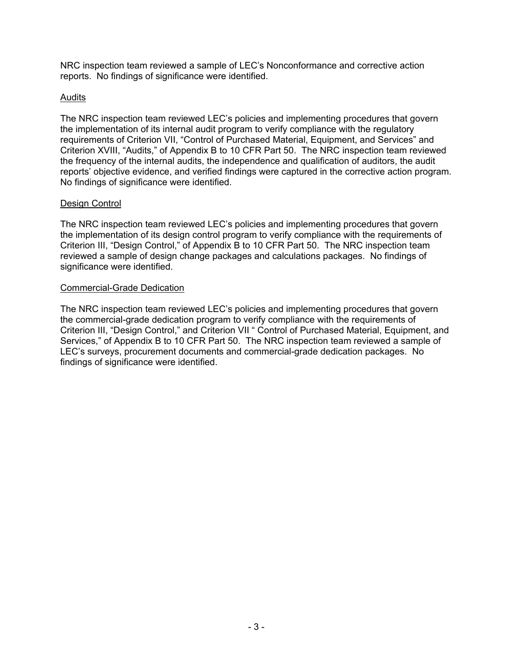NRC inspection team reviewed a sample of LEC's Nonconformance and corrective action reports. No findings of significance were identified.

## Audits

The NRC inspection team reviewed LEC's policies and implementing procedures that govern the implementation of its internal audit program to verify compliance with the regulatory requirements of Criterion VII, "Control of Purchased Material, Equipment, and Services" and Criterion XVIII, "Audits," of Appendix B to 10 CFR Part 50. The NRC inspection team reviewed the frequency of the internal audits, the independence and qualification of auditors, the audit reports' objective evidence, and verified findings were captured in the corrective action program. No findings of significance were identified.

## Design Control

The NRC inspection team reviewed LEC's policies and implementing procedures that govern the implementation of its design control program to verify compliance with the requirements of Criterion III, "Design Control," of Appendix B to 10 CFR Part 50. The NRC inspection team reviewed a sample of design change packages and calculations packages. No findings of significance were identified.

## Commercial-Grade Dedication

The NRC inspection team reviewed LEC's policies and implementing procedures that govern the commercial-grade dedication program to verify compliance with the requirements of Criterion III, "Design Control," and Criterion VII " Control of Purchased Material, Equipment, and Services," of Appendix B to 10 CFR Part 50. The NRC inspection team reviewed a sample of LEC's surveys, procurement documents and commercial-grade dedication packages. No findings of significance were identified.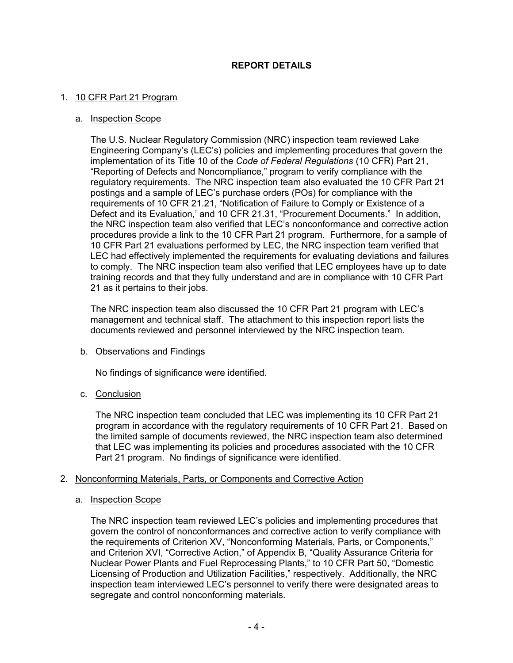# **REPORT DETAILS**

#### 1. 10 CFR Part 21 Program

#### a. Inspection Scope

The U.S. Nuclear Regulatory Commission (NRC) inspection team reviewed Lake Engineering Company's (LEC's) policies and implementing procedures that govern the implementation of its Title 10 of the *Code of Federal Regulations* (10 CFR) Part 21, "Reporting of Defects and Noncompliance," program to verify compliance with the regulatory requirements. The NRC inspection team also evaluated the 10 CFR Part 21 postings and a sample of LEC's purchase orders (POs) for compliance with the requirements of 10 CFR 21.21, "Notification of Failure to Comply or Existence of a Defect and its Evaluation,' and 10 CFR 21.31, "Procurement Documents." In addition, the NRC inspection team also verified that LEC's nonconformance and corrective action procedures provide a link to the 10 CFR Part 21 program. Furthermore, for a sample of 10 CFR Part 21 evaluations performed by LEC, the NRC inspection team verified that LEC had effectively implemented the requirements for evaluating deviations and failures to comply. The NRC inspection team also verified that LEC employees have up to date training records and that they fully understand and are in compliance with 10 CFR Part 21 as it pertains to their jobs.

The NRC inspection team also discussed the 10 CFR Part 21 program with LEC's management and technical staff. The attachment to this inspection report lists the documents reviewed and personnel interviewed by the NRC inspection team.

#### b. Observations and Findings

No findings of significance were identified.

## c. Conclusion

The NRC inspection team concluded that LEC was implementing its 10 CFR Part 21 program in accordance with the regulatory requirements of 10 CFR Part 21. Based on the limited sample of documents reviewed, the NRC inspection team also determined that LEC was implementing its policies and procedures associated with the 10 CFR Part 21 program. No findings of significance were identified.

#### 2. Nonconforming Materials, Parts, or Components and Corrective Action

#### a. Inspection Scope

The NRC inspection team reviewed LEC's policies and implementing procedures that govern the control of nonconformances and corrective action to verify compliance with the requirements of Criterion XV, "Nonconforming Materials, Parts, or Components," and Criterion XVI, "Corrective Action," of Appendix B, "Quality Assurance Criteria for Nuclear Power Plants and Fuel Reprocessing Plants," to 10 CFR Part 50, "Domestic Licensing of Production and Utilization Facilities," respectively. Additionally, the NRC inspection team interviewed LEC's personnel to verify there were designated areas to segregate and control nonconforming materials.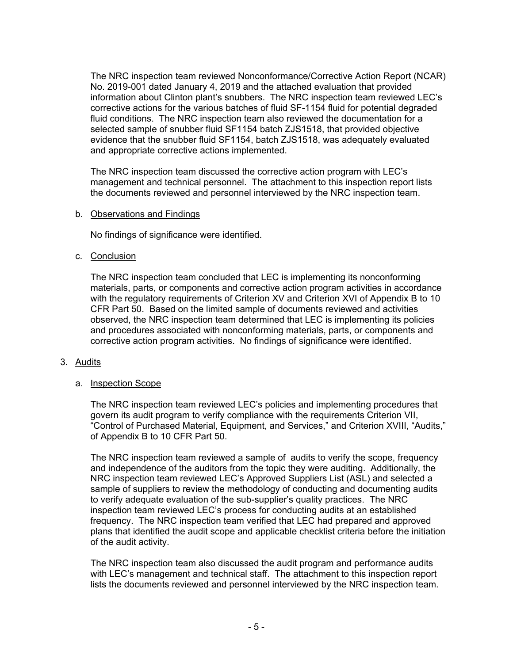The NRC inspection team reviewed Nonconformance/Corrective Action Report (NCAR) No. 2019-001 dated January 4, 2019 and the attached evaluation that provided information about Clinton plant's snubbers. The NRC inspection team reviewed LEC's corrective actions for the various batches of fluid SF-1154 fluid for potential degraded fluid conditions. The NRC inspection team also reviewed the documentation for a selected sample of snubber fluid SF1154 batch ZJS1518, that provided objective evidence that the snubber fluid SF1154, batch ZJS1518, was adequately evaluated and appropriate corrective actions implemented.

The NRC inspection team discussed the corrective action program with LEC's management and technical personnel. The attachment to this inspection report lists the documents reviewed and personnel interviewed by the NRC inspection team.

#### b. Observations and Findings

No findings of significance were identified.

#### c. Conclusion

The NRC inspection team concluded that LEC is implementing its nonconforming materials, parts, or components and corrective action program activities in accordance with the regulatory requirements of Criterion XV and Criterion XVI of Appendix B to 10 CFR Part 50. Based on the limited sample of documents reviewed and activities observed, the NRC inspection team determined that LEC is implementing its policies and procedures associated with nonconforming materials, parts, or components and corrective action program activities. No findings of significance were identified.

#### 3. Audits

#### a. Inspection Scope

The NRC inspection team reviewed LEC's policies and implementing procedures that govern its audit program to verify compliance with the requirements Criterion VII, "Control of Purchased Material, Equipment, and Services," and Criterion XVIII, "Audits," of Appendix B to 10 CFR Part 50.

The NRC inspection team reviewed a sample of audits to verify the scope, frequency and independence of the auditors from the topic they were auditing. Additionally, the NRC inspection team reviewed LEC's Approved Suppliers List (ASL) and selected a sample of suppliers to review the methodology of conducting and documenting audits to verify adequate evaluation of the sub-supplier's quality practices. The NRC inspection team reviewed LEC's process for conducting audits at an established frequency. The NRC inspection team verified that LEC had prepared and approved plans that identified the audit scope and applicable checklist criteria before the initiation of the audit activity.

The NRC inspection team also discussed the audit program and performance audits with LEC's management and technical staff. The attachment to this inspection report lists the documents reviewed and personnel interviewed by the NRC inspection team.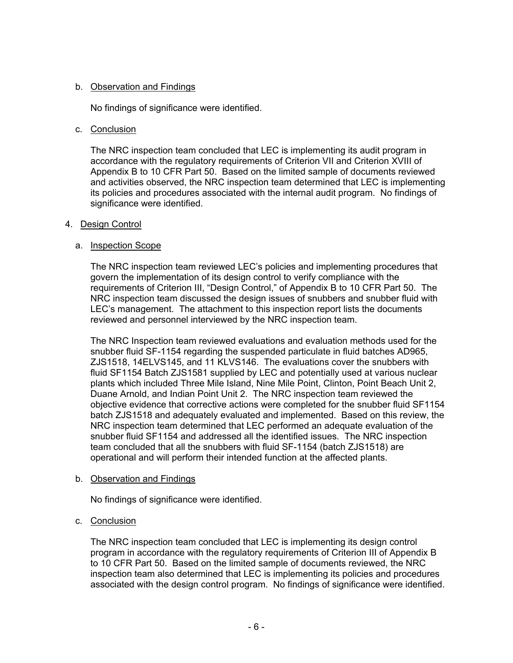## b. Observation and Findings

No findings of significance were identified.

## c. Conclusion

The NRC inspection team concluded that LEC is implementing its audit program in accordance with the regulatory requirements of Criterion VII and Criterion XVIII of Appendix B to 10 CFR Part 50. Based on the limited sample of documents reviewed and activities observed, the NRC inspection team determined that LEC is implementing its policies and procedures associated with the internal audit program. No findings of significance were identified.

## 4. Design Control

## a. Inspection Scope

The NRC inspection team reviewed LEC's policies and implementing procedures that govern the implementation of its design control to verify compliance with the requirements of Criterion III, "Design Control," of Appendix B to 10 CFR Part 50. The NRC inspection team discussed the design issues of snubbers and snubber fluid with LEC's management. The attachment to this inspection report lists the documents reviewed and personnel interviewed by the NRC inspection team.

The NRC Inspection team reviewed evaluations and evaluation methods used for the snubber fluid SF-1154 regarding the suspended particulate in fluid batches AD965, ZJS1518, 14ELVS145, and 11 KLVS146. The evaluations cover the snubbers with fluid SF1154 Batch ZJS1581 supplied by LEC and potentially used at various nuclear plants which included Three Mile Island, Nine Mile Point, Clinton, Point Beach Unit 2, Duane Arnold, and Indian Point Unit 2. The NRC inspection team reviewed the objective evidence that corrective actions were completed for the snubber fluid SF1154 batch ZJS1518 and adequately evaluated and implemented. Based on this review, the NRC inspection team determined that LEC performed an adequate evaluation of the snubber fluid SF1154 and addressed all the identified issues. The NRC inspection team concluded that all the snubbers with fluid SF-1154 (batch ZJS1518) are operational and will perform their intended function at the affected plants.

## b. Observation and Findings

No findings of significance were identified.

# c. Conclusion

The NRC inspection team concluded that LEC is implementing its design control program in accordance with the regulatory requirements of Criterion III of Appendix B to 10 CFR Part 50. Based on the limited sample of documents reviewed, the NRC inspection team also determined that LEC is implementing its policies and procedures associated with the design control program. No findings of significance were identified.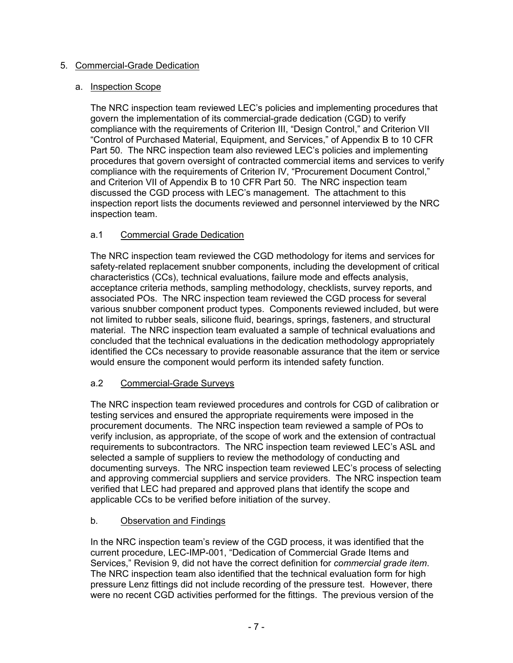# 5. Commercial-Grade Dedication

## a. Inspection Scope

The NRC inspection team reviewed LEC's policies and implementing procedures that govern the implementation of its commercial-grade dedication (CGD) to verify compliance with the requirements of Criterion III, "Design Control," and Criterion VII "Control of Purchased Material, Equipment, and Services," of Appendix B to 10 CFR Part 50. The NRC inspection team also reviewed LEC's policies and implementing procedures that govern oversight of contracted commercial items and services to verify compliance with the requirements of Criterion IV, "Procurement Document Control," and Criterion VII of Appendix B to 10 CFR Part 50. The NRC inspection team discussed the CGD process with LEC's management. The attachment to this inspection report lists the documents reviewed and personnel interviewed by the NRC inspection team.

# a.1 Commercial Grade Dedication

The NRC inspection team reviewed the CGD methodology for items and services for safety-related replacement snubber components, including the development of critical characteristics (CCs), technical evaluations, failure mode and effects analysis, acceptance criteria methods, sampling methodology, checklists, survey reports, and associated POs. The NRC inspection team reviewed the CGD process for several various snubber component product types. Components reviewed included, but were not limited to rubber seals, silicone fluid, bearings, springs, fasteners, and structural material. The NRC inspection team evaluated a sample of technical evaluations and concluded that the technical evaluations in the dedication methodology appropriately identified the CCs necessary to provide reasonable assurance that the item or service would ensure the component would perform its intended safety function.

# a.2 Commercial-Grade Surveys

The NRC inspection team reviewed procedures and controls for CGD of calibration or testing services and ensured the appropriate requirements were imposed in the procurement documents. The NRC inspection team reviewed a sample of POs to verify inclusion, as appropriate, of the scope of work and the extension of contractual requirements to subcontractors. The NRC inspection team reviewed LEC's ASL and selected a sample of suppliers to review the methodology of conducting and documenting surveys. The NRC inspection team reviewed LEC's process of selecting and approving commercial suppliers and service providers. The NRC inspection team verified that LEC had prepared and approved plans that identify the scope and applicable CCs to be verified before initiation of the survey.

# b. Observation and Findings

In the NRC inspection team's review of the CGD process, it was identified that the current procedure, LEC-IMP-001, "Dedication of Commercial Grade Items and Services," Revision 9, did not have the correct definition for *commercial grade item*. The NRC inspection team also identified that the technical evaluation form for high pressure Lenz fittings did not include recording of the pressure test. However, there were no recent CGD activities performed for the fittings. The previous version of the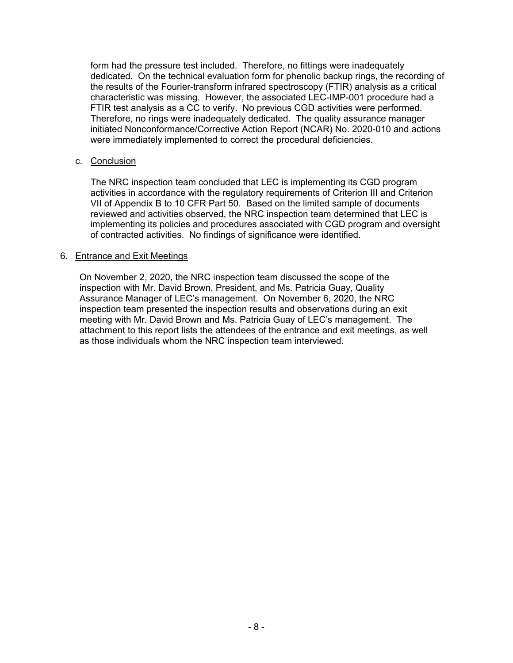form had the pressure test included. Therefore, no fittings were inadequately dedicated. On the technical evaluation form for phenolic backup rings, the recording of the results of the Fourier-transform infrared spectroscopy (FTIR) analysis as a critical characteristic was missing. However, the associated LEC-IMP-001 procedure had a FTIR test analysis as a CC to verify. No previous CGD activities were performed. Therefore, no rings were inadequately dedicated. The quality assurance manager initiated Nonconformance/Corrective Action Report (NCAR) No. 2020-010 and actions were immediately implemented to correct the procedural deficiencies.

#### c. Conclusion

The NRC inspection team concluded that LEC is implementing its CGD program activities in accordance with the regulatory requirements of Criterion III and Criterion VII of Appendix B to 10 CFR Part 50. Based on the limited sample of documents reviewed and activities observed, the NRC inspection team determined that LEC is implementing its policies and procedures associated with CGD program and oversight of contracted activities. No findings of significance were identified.

#### 6. Entrance and Exit Meetings

On November 2, 2020, the NRC inspection team discussed the scope of the inspection with Mr. David Brown, President, and Ms. Patricia Guay, Quality Assurance Manager of LEC's management. On November 6, 2020, the NRC inspection team presented the inspection results and observations during an exit meeting with Mr. David Brown and Ms. Patricia Guay of LEC's management. The attachment to this report lists the attendees of the entrance and exit meetings, as well as those individuals whom the NRC inspection team interviewed.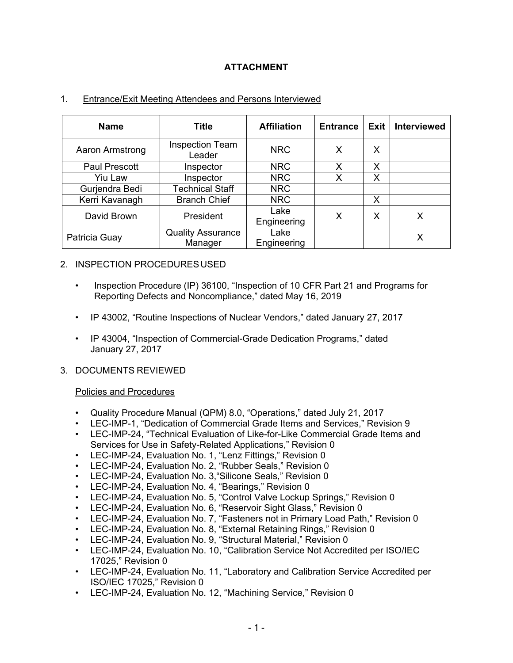# **ATTACHMENT**

| <b>Name</b>          | Title                               | <b>Affiliation</b>  | <b>Entrance</b> | Exit I | <b>Interviewed</b> |
|----------------------|-------------------------------------|---------------------|-----------------|--------|--------------------|
| Aaron Armstrong      | <b>Inspection Team</b><br>Leader    | <b>NRC</b>          | X               | Х      |                    |
| <b>Paul Prescott</b> | Inspector                           | <b>NRC</b>          | X               | х      |                    |
| Yiu Law              | Inspector                           | <b>NRC</b>          | x               | х      |                    |
| Gurjendra Bedi       | <b>Technical Staff</b>              | <b>NRC</b>          |                 |        |                    |
| Kerri Kavanagh       | <b>Branch Chief</b>                 | <b>NRC</b>          |                 | Х      |                    |
| David Brown          | President                           | Lake<br>Engineering | X               | x      |                    |
| Patricia Guay        | <b>Quality Assurance</b><br>Manager | Lake<br>Engineering |                 |        |                    |

## 1. Entrance/Exit Meeting Attendees and Persons Interviewed

## 2. INSPECTION PROCEDURES USED

- Inspection Procedure (IP) 36100, "Inspection of 10 CFR Part 21 and Programs for Reporting Defects and Noncompliance," dated May 16, 2019
- IP 43002, "Routine Inspections of Nuclear Vendors," dated January 27, 2017
- IP 43004, "Inspection of Commercial-Grade Dedication Programs," dated January 27, 2017

## 3. DOCUMENTS REVIEWED

## Policies and Procedures

- Quality Procedure Manual (QPM) 8.0, "Operations," dated July 21, 2017
- LEC-IMP-1, "Dedication of Commercial Grade Items and Services," Revision 9
- LEC-IMP-24, "Technical Evaluation of Like-for-Like Commercial Grade Items and Services for Use in Safety-Related Applications," Revision 0
- LEC-IMP-24, Evaluation No. 1, "Lenz Fittings," Revision 0
- LEC-IMP-24, Evaluation No. 2, "Rubber Seals," Revision 0
- LEC-IMP-24, Evaluation No. 3,"Silicone Seals," Revision 0
- LEC-IMP-24, Evaluation No. 4, "Bearings," Revision 0
- LEC-IMP-24, Evaluation No. 5, "Control Valve Lockup Springs," Revision 0
- LEC-IMP-24, Evaluation No. 6, "Reservoir Sight Glass," Revision 0
- LEC-IMP-24, Evaluation No. 7, "Fasteners not in Primary Load Path," Revision 0
- LEC-IMP-24, Evaluation No. 8, "External Retaining Rings," Revision 0
- LEC-IMP-24, Evaluation No. 9, "Structural Material," Revision 0
- LEC-IMP-24, Evaluation No. 10, "Calibration Service Not Accredited per ISO/IEC 17025," Revision 0
- LEC-IMP-24, Evaluation No. 11, "Laboratory and Calibration Service Accredited per ISO/IEC 17025," Revision 0
- LEC-IMP-24, Evaluation No. 12, "Machining Service," Revision 0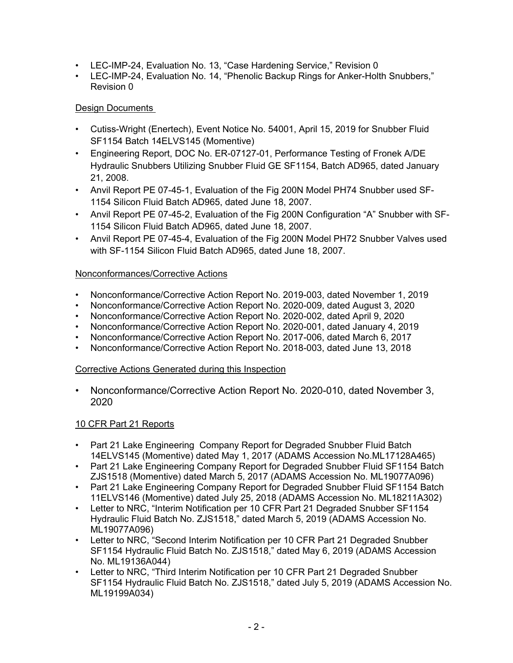- LEC-IMP-24, Evaluation No. 13, "Case Hardening Service," Revision 0
- LEC-IMP-24, Evaluation No. 14, "Phenolic Backup Rings for Anker-Holth Snubbers," Revision 0

# Design Documents

- Cutiss-Wright (Enertech), Event Notice No. 54001, April 15, 2019 for Snubber Fluid SF1154 Batch 14ELVS145 (Momentive)
- Engineering Report, DOC No. ER-07127-01, Performance Testing of Fronek A/DE Hydraulic Snubbers Utilizing Snubber Fluid GE SF1154, Batch AD965, dated January 21, 2008.
- Anvil Report PE 07-45-1, Evaluation of the Fig 200N Model PH74 Snubber used SF-1154 Silicon Fluid Batch AD965, dated June 18, 2007.
- Anvil Report PE 07-45-2, Evaluation of the Fig 200N Configuration "A" Snubber with SF-1154 Silicon Fluid Batch AD965, dated June 18, 2007.
- Anvil Report PE 07-45-4, Evaluation of the Fig 200N Model PH72 Snubber Valves used with SF-1154 Silicon Fluid Batch AD965, dated June 18, 2007.

# Nonconformances/Corrective Actions

- Nonconformance/Corrective Action Report No. 2019-003, dated November 1, 2019
- Nonconformance/Corrective Action Report No. 2020-009, dated August 3, 2020
- Nonconformance/Corrective Action Report No. 2020-002, dated April 9, 2020
- Nonconformance/Corrective Action Report No. 2020-001, dated January 4, 2019
- Nonconformance/Corrective Action Report No. 2017-006, dated March 6, 2017
- Nonconformance/Corrective Action Report No. 2018-003, dated June 13, 2018

# Corrective Actions Generated during this Inspection

• Nonconformance/Corrective Action Report No. 2020-010, dated November 3, 2020

# 10 CFR Part 21 Reports

- Part 21 Lake Engineering Company Report for Degraded Snubber Fluid Batch 14ELVS145 (Momentive) dated May 1, 2017 (ADAMS Accession No.ML17128A465)
- Part 21 Lake Engineering Company Report for Degraded Snubber Fluid SF1154 Batch ZJS1518 (Momentive) dated March 5, 2017 (ADAMS Accession No. ML19077A096)
- Part 21 Lake Engineering Company Report for Degraded Snubber Fluid SF1154 Batch 11ELVS146 (Momentive) dated July 25, 2018 (ADAMS Accession No. ML18211A302)
- Letter to NRC, "Interim Notification per 10 CFR Part 21 Degraded Snubber SF1154 Hydraulic Fluid Batch No. ZJS1518," dated March 5, 2019 (ADAMS Accession No. ML19077A096)
- Letter to NRC, "Second Interim Notification per 10 CFR Part 21 Degraded Snubber SF1154 Hydraulic Fluid Batch No. ZJS1518," dated May 6, 2019 (ADAMS Accession No. ML19136A044)
- Letter to NRC, "Third Interim Notification per 10 CFR Part 21 Degraded Snubber SF1154 Hydraulic Fluid Batch No. ZJS1518," dated July 5, 2019 (ADAMS Accession No. ML19199A034)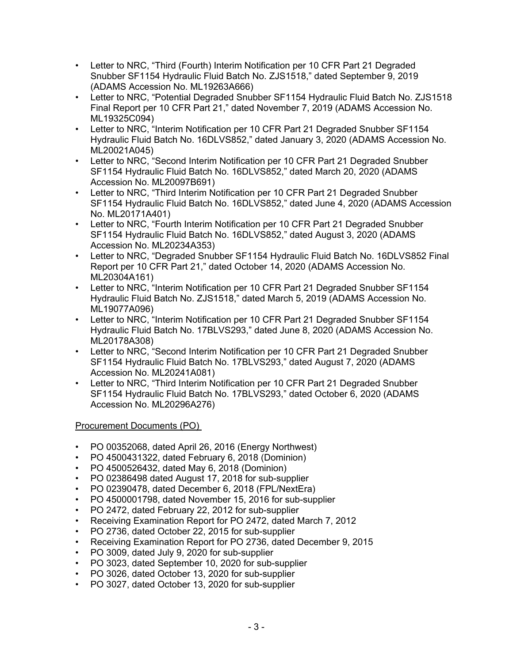- Letter to NRC, "Third (Fourth) Interim Notification per 10 CFR Part 21 Degraded Snubber SF1154 Hydraulic Fluid Batch No. ZJS1518," dated September 9, 2019 (ADAMS Accession No. ML19263A666)
- Letter to NRC, "Potential Degraded Snubber SF1154 Hydraulic Fluid Batch No. ZJS1518 Final Report per 10 CFR Part 21," dated November 7, 2019 (ADAMS Accession No. ML19325C094)
- Letter to NRC, "Interim Notification per 10 CFR Part 21 Degraded Snubber SF1154 Hydraulic Fluid Batch No. 16DLVS852," dated January 3, 2020 (ADAMS Accession No. ML20021A045)
- Letter to NRC, "Second Interim Notification per 10 CFR Part 21 Degraded Snubber SF1154 Hydraulic Fluid Batch No. 16DLVS852," dated March 20, 2020 (ADAMS Accession No. ML20097B691)
- Letter to NRC, "Third Interim Notification per 10 CFR Part 21 Degraded Snubber SF1154 Hydraulic Fluid Batch No. 16DLVS852," dated June 4, 2020 (ADAMS Accession No. ML20171A401)
- Letter to NRC, "Fourth Interim Notification per 10 CFR Part 21 Degraded Snubber SF1154 Hydraulic Fluid Batch No. 16DLVS852," dated August 3, 2020 (ADAMS Accession No. ML20234A353)
- Letter to NRC, "Degraded Snubber SF1154 Hydraulic Fluid Batch No. 16DLVS852 Final Report per 10 CFR Part 21," dated October 14, 2020 (ADAMS Accession No. ML20304A161)
- Letter to NRC, "Interim Notification per 10 CFR Part 21 Degraded Snubber SF1154 Hydraulic Fluid Batch No. ZJS1518," dated March 5, 2019 (ADAMS Accession No. ML19077A096)
- Letter to NRC, "Interim Notification per 10 CFR Part 21 Degraded Snubber SF1154 Hydraulic Fluid Batch No. 17BLVS293," dated June 8, 2020 (ADAMS Accession No. ML20178A308)
- Letter to NRC, "Second Interim Notification per 10 CFR Part 21 Degraded Snubber SF1154 Hydraulic Fluid Batch No. 17BLVS293," dated August 7, 2020 (ADAMS Accession No. ML20241A081)
- Letter to NRC, "Third Interim Notification per 10 CFR Part 21 Degraded Snubber SF1154 Hydraulic Fluid Batch No. 17BLVS293," dated October 6, 2020 (ADAMS Accession No. ML20296A276)

Procurement Documents (PO)

- PO 00352068, dated April 26, 2016 (Energy Northwest)
- PO 4500431322, dated February 6, 2018 (Dominion)
- PO 4500526432, dated May 6, 2018 (Dominion)
- PO 02386498 dated August 17, 2018 for sub-supplier
- PO 02390478, dated December 6, 2018 (FPL/NextEra)
- PO 4500001798, dated November 15, 2016 for sub-supplier
- PO 2472, dated February 22, 2012 for sub-supplier
- Receiving Examination Report for PO 2472, dated March 7, 2012
- PO 2736, dated October 22, 2015 for sub-supplier
- Receiving Examination Report for PO 2736, dated December 9, 2015
- PO 3009, dated July 9, 2020 for sub-supplier
- PO 3023, dated September 10, 2020 for sub-supplier
- PO 3026, dated October 13, 2020 for sub-supplier
- PO 3027, dated October 13, 2020 for sub-supplier